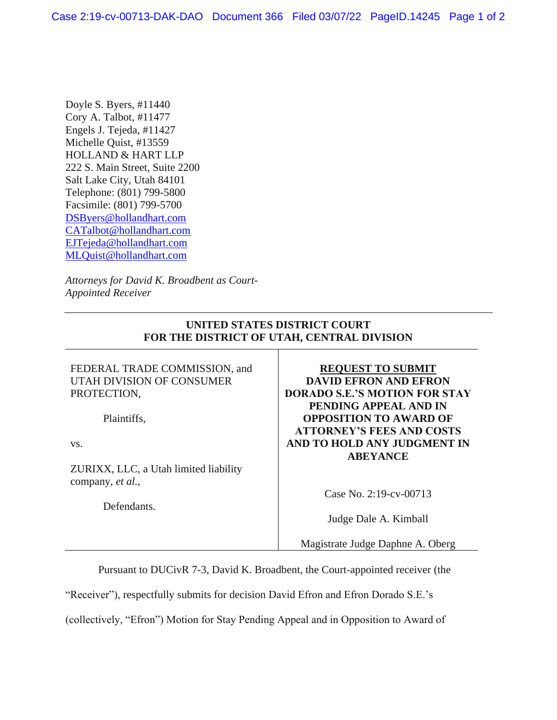Doyle S. Byers, #11440 Cory A. Talbot, #11477 Engels J. Tejeda, #11427 Michelle Quist, #13559 HOLLAND & HART LLP 222 S. Main Street, Suite 2200 Salt Lake City, Utah 84101 Telephone: (801) 799-5800 Facsimile: (801) 799-5700 [DSByers@hollandhart.com](mailto:DSByers@hollandhart.com) [CATalbot@hollandhart.com](mailto:CATalbot@hollandhart.com) [EJTejeda@hollandhart.com](mailto:EJTejeda@hollandhart.com) [MLQuist@hollandhart.com](mailto:MLQuist@hollandhart.com)

*Attorneys for David K. Broadbent as Court-Appointed Receiver*

## **UNITED STATES DISTRICT COURT FOR THE DISTRICT OF UTAH, CENTRAL DIVISION**

FEDERAL TRADE COMMISSION, and UTAH DIVISION OF CONSUMER PROTECTION,

Plaintiffs,

vs.

ZURIXX, LLC, a Utah limited liability company, *et al.*,

Defendants.

## **REQUEST TO SUBMIT DAVID EFRON AND EFRON DORADO S.E.'S MOTION FOR STAY PENDING APPEAL AND IN OPPOSITION TO AWARD OF ATTORNEY'S FEES AND COSTS AND TO HOLD ANY JUDGMENT IN ABEYANCE**

Case No. 2:19-cv-00713

Judge Dale A. Kimball

Magistrate Judge Daphne A. Oberg

Pursuant to DUCivR 7-3, David K. Broadbent, the Court-appointed receiver (the

"Receiver"), respectfully submits for decision David Efron and Efron Dorado S.E.'s

(collectively, "Efron") Motion for Stay Pending Appeal and in Opposition to Award of